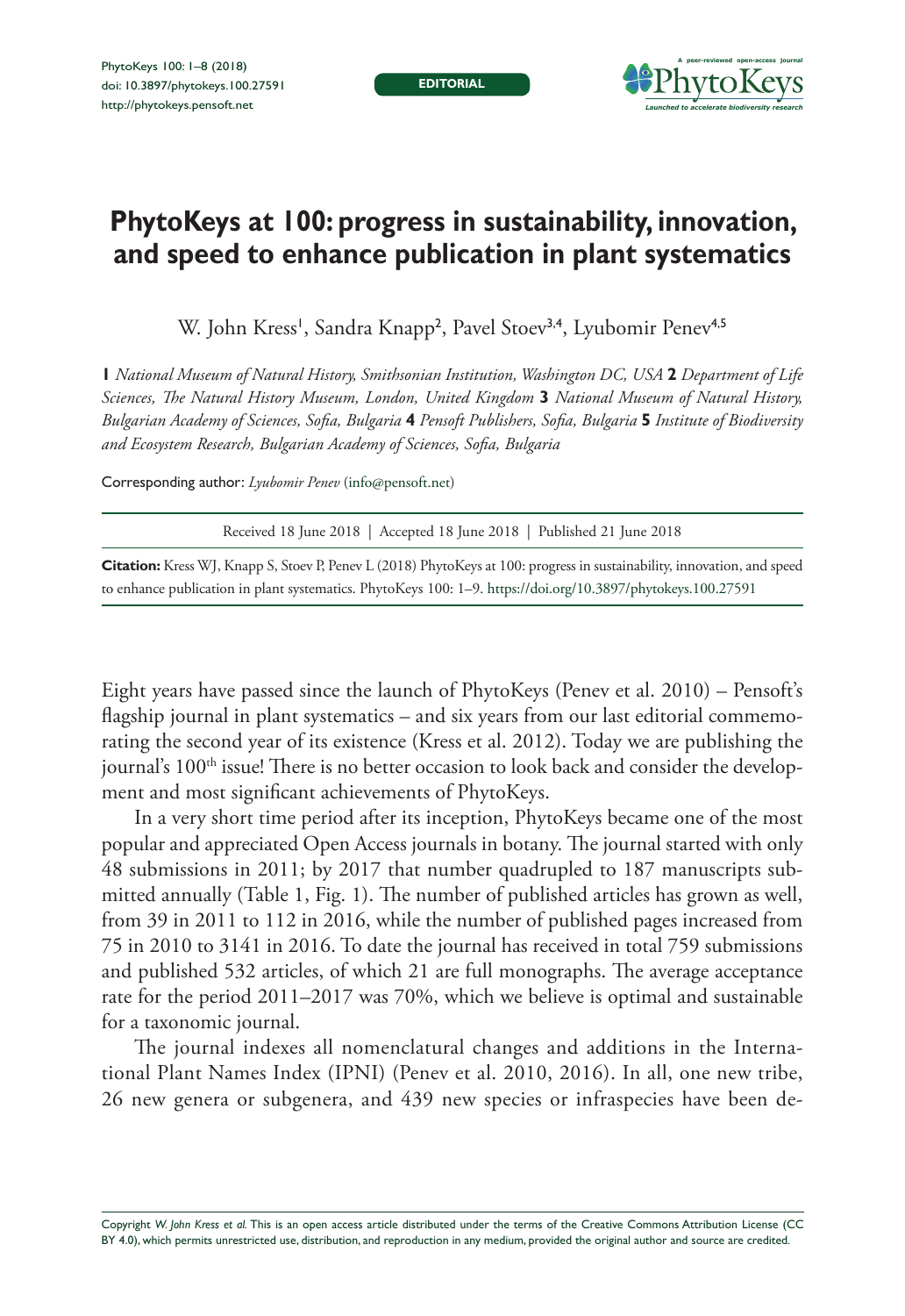**EDITORIAL**



## **PhytoKeys at 100: progress in sustainability, innovation, and speed to enhance publication in plant systematics**

W. John Kress', Sandra Knapp<sup>2</sup>, Pavel Stoev<sup>3,4</sup>, Lyubomir Penev<sup>4,5</sup>

**1** *National Museum of Natural History, Smithsonian Institution, Washington DC, USA* **2** *Department of Life Sciences, The Natural History Museum, London, United Kingdom* **3** *National Museum of Natural History, Bulgarian Academy of Sciences, Sofia, Bulgaria* **4** *Pensoft Publishers, Sofia, Bulgaria* **5** *Institute of Biodiversity and Ecosystem Research, Bulgarian Academy of Sciences, Sofia, Bulgaria*

Corresponding author: *Lyubomir Penev* [\(info@pensoft.net\)](mailto:info@pensoft.net)

Received 18 June 2018 | Accepted 18 June 2018 | Published 21 June 2018

**Citation:** Kress WJ, Knapp S, Stoev P, Penev L (2018) PhytoKeys at 100: progress in sustainability, innovation, and speed to enhance publication in plant systematics. PhytoKeys 100: 1–9.<https://doi.org/10.3897/phytokeys.100.27591>

Eight years have passed since the launch of PhytoKeys (Penev et al. 2010) – Pensoft's flagship journal in plant systematics – and six years from our last editorial commemorating the second year of its existence (Kress et al. 2012). Today we are publishing the journal's  $100<sup>th</sup>$  issue! There is no better occasion to look back and consider the development and most significant achievements of PhytoKeys.

In a very short time period after its inception, PhytoKeys became one of the most popular and appreciated Open Access journals in botany. The journal started with only 48 submissions in 2011; by 2017 that number quadrupled to 187 manuscripts submitted annually (Table 1, Fig. 1). The number of published articles has grown as well, from 39 in 2011 to 112 in 2016, while the number of published pages increased from 75 in 2010 to 3141 in 2016. To date the journal has received in total 759 submissions and published 532 articles, of which 21 are full monographs. The average acceptance rate for the period 2011–2017 was 70%, which we believe is optimal and sustainable for a taxonomic journal.

The journal indexes all nomenclatural changes and additions in the International Plant Names Index (IPNI) (Penev et al. 2010, 2016). In all, one new tribe, 26 new genera or subgenera, and 439 new species or infraspecies have been de-

Copyright *W. John Kress et al.* This is an open access article distributed under the terms of the [Creative Commons Attribution License \(CC](http://creativecommons.org/licenses/by/4.0/)  [BY 4.0\)](http://creativecommons.org/licenses/by/4.0/), which permits unrestricted use, distribution, and reproduction in any medium, provided the original author and source are credited.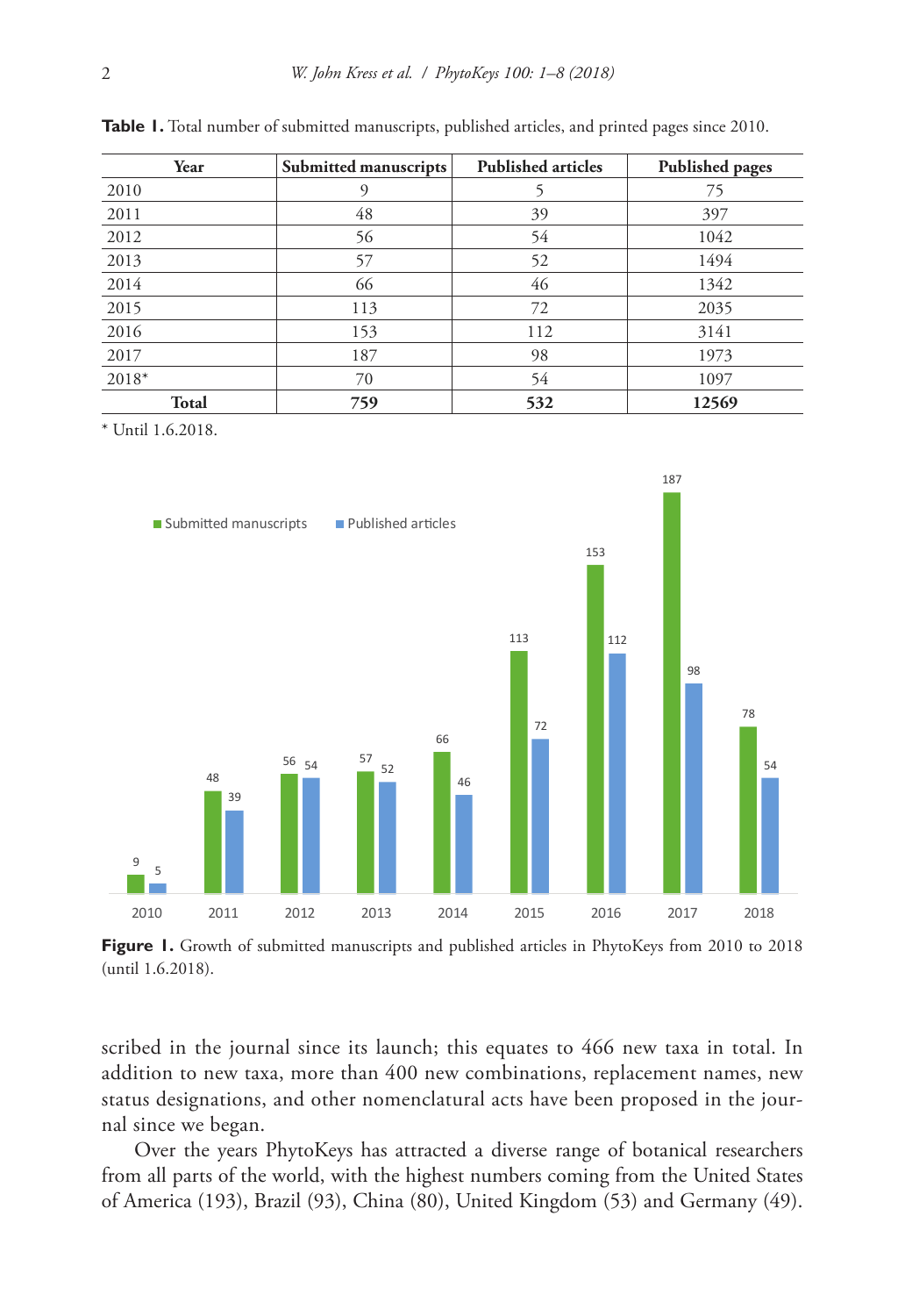| Year         | Submitted manuscripts | <b>Published articles</b> | <b>Published pages</b> |
|--------------|-----------------------|---------------------------|------------------------|
| 2010         | 9                     |                           | 75                     |
| 2011         | 48                    | 39                        | 397                    |
| 2012         | 56                    | 54                        | 1042                   |
| 2013         | 57                    | 52                        | 1494                   |
| 2014         | 66                    | 46                        | 1342                   |
| 2015         | 113                   | 72                        | 2035                   |
| 2016         | 153                   | 112                       | 3141                   |
| 2017         | 187                   | 98                        | 1973                   |
| 2018*        | 70                    | 54                        | 1097                   |
| <b>Total</b> | 759                   | 532                       | 12569                  |

**Table 1.** Total number of submitted manuscripts, published articles, and printed pages since 2010.

\* Until 1.6.2018.



Figure 1. Growth of submitted manuscripts and published articles in PhytoKeys from 2010 to 2018 (until 1.6.2018).

scribed in the journal since its launch; this equates to 466 new taxa in total. In addition to new taxa, more than 400 new combinations, replacement names, new status designations, and other nomenclatural acts have been proposed in the journal since we began.

Over the years PhytoKeys has attracted a diverse range of botanical researchers from all parts of the world, with the highest numbers coming from the United States of America (193), Brazil (93), China (80), United Kingdom (53) and Germany (49).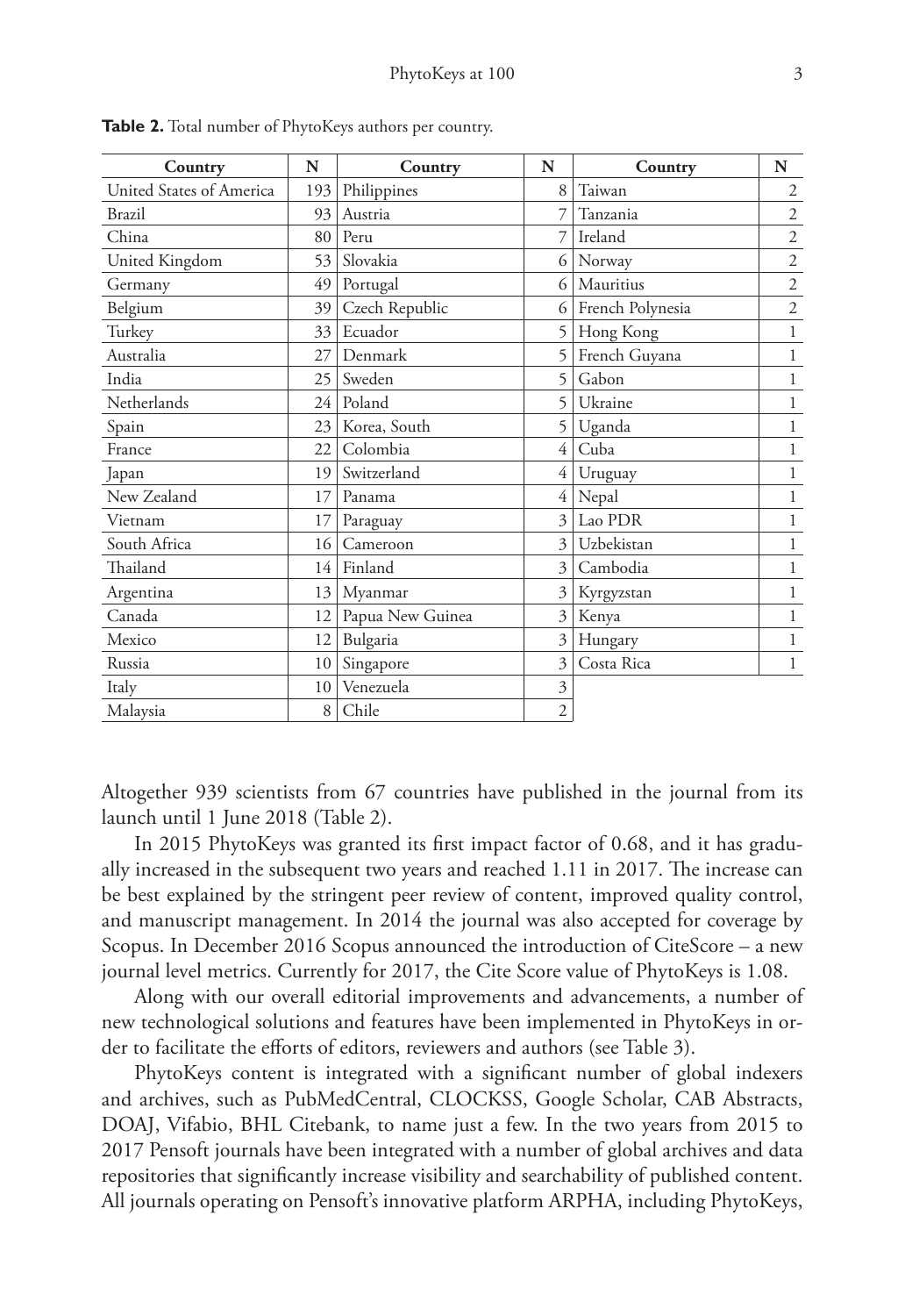| Country                  | N   | Country          | N              | Country          | N              |
|--------------------------|-----|------------------|----------------|------------------|----------------|
| United States of America | 193 | Philippines      | 8              | Taiwan           | $\overline{2}$ |
| <b>Brazil</b>            | 93  | Austria          |                | Tanzania         | $\overline{2}$ |
| China                    | 80  | Peru             |                | Ireland          | $\mathfrak{2}$ |
| United Kingdom           | 53  | Slovakia         | 6              | Norway           | $\overline{2}$ |
| Germany                  | 49  | Portugal         | 6              | Mauritius        | $\mathfrak{2}$ |
| Belgium                  | 39  | Czech Republic   | 6              | French Polynesia | $\mathfrak{2}$ |
| Turkey                   | 33  | Ecuador          | 5              | Hong Kong        | 1              |
| Australia                | 27  | Denmark          | 5              | French Guyana    | 1              |
| India                    | 25  | Sweden           | 5              | Gabon            | $\mathbf 1$    |
| Netherlands              | 24  | Poland           | 5              | Ukraine          | 1              |
| Spain                    | 23  | Korea, South     | 5              | Uganda           | 1              |
| France                   | 22  | Colombia         | 4              | Cuba             | 1              |
| Japan                    | 19  | Switzerland      | 4              | Uruguay          | 1              |
| New Zealand              | 17  | Panama           | 4              | Nepal            | 1              |
| Vietnam                  | 17  | Paraguay         | 3              | Lao PDR          | 1              |
| South Africa             | 16  | Cameroon         | 3              | Uzbekistan       | 1              |
| Thailand                 | 14  | Finland          | 3              | Cambodia         | 1              |
| Argentina                | 13  | Myanmar          | 3              | Kyrgyzstan       | 1              |
| Canada                   | 12  | Papua New Guinea | 3              | Kenya            | 1              |
| Mexico                   | 12  | Bulgaria         | 3              | Hungary          | 1              |
| Russia                   | 10  | Singapore        | 3              | Costa Rica       | 1              |
| Italy                    | 10  | Venezuela        | 3              |                  |                |
| Malaysia                 | 8   | Chile            | $\overline{c}$ |                  |                |

**Table 2.** Total number of PhytoKeys authors per country.

Altogether 939 scientists from 67 countries have published in the journal from its launch until 1 June 2018 (Table 2).

In 2015 PhytoKeys was granted its first impact factor of 0.68, and it has gradually increased in the subsequent two years and reached 1.11 in 2017. The increase can be best explained by the stringent peer review of content, improved quality control, and manuscript management. In 2014 the journal was also accepted for coverage by Scopus. In December 2016 Scopus announced the introduction of CiteScore – a new journal level metrics. Currently for 2017, the Cite Score value of PhytoKeys is 1.08.

Along with our overall editorial improvements and advancements, a number of new technological solutions and features have been implemented in PhytoKeys in order to facilitate the efforts of editors, reviewers and authors (see Table 3).

PhytoKeys content is integrated with a significant number of global indexers and archives, such as PubMedCentral, CLOCKSS, Google Scholar, CAB Abstracts, DOAJ, Vifabio, BHL Citebank, to name just a few. In the two years from 2015 to 2017 Pensoft journals have been integrated with a number of global archives and data repositories that significantly increase visibility and searchability of published content. All journals operating on Pensoft's innovative platform ARPHA, including PhytoKeys,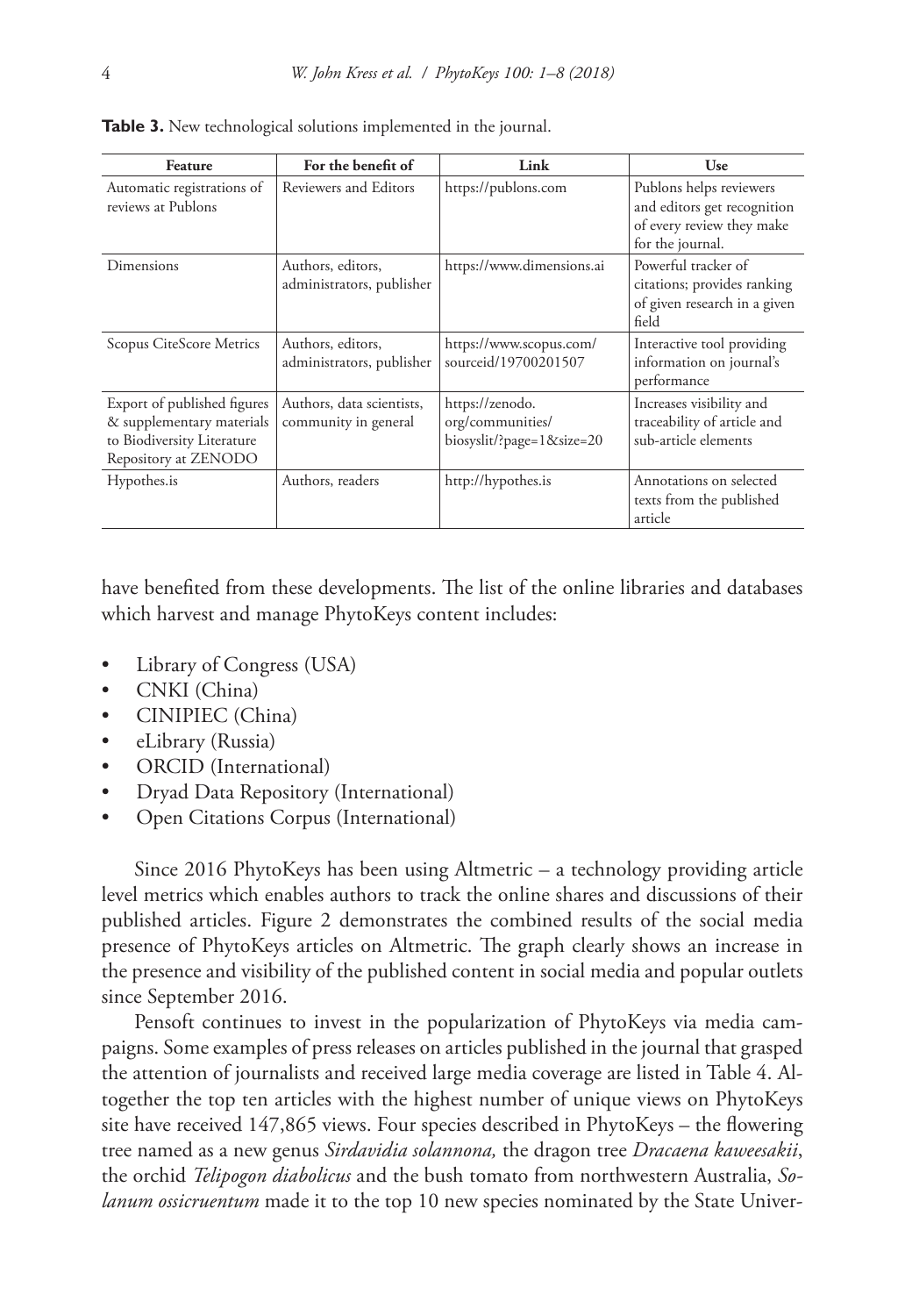| Feature                                                                                                        | For the benefit of                                | Link                                                             | Use                                                                                                     |
|----------------------------------------------------------------------------------------------------------------|---------------------------------------------------|------------------------------------------------------------------|---------------------------------------------------------------------------------------------------------|
| Automatic registrations of<br>reviews at Publons                                                               | Reviewers and Editors                             | https://publons.com                                              | Publons helps reviewers<br>and editors get recognition<br>of every review they make<br>for the journal. |
| Dimensions                                                                                                     | Authors, editors,<br>administrators, publisher    | https://www.dimensions.ai                                        | Powerful tracker of<br>citations; provides ranking<br>of given research in a given<br>field             |
| Scopus CiteScore Metrics                                                                                       | Authors, editors,<br>administrators, publisher    | https://www.scopus.com/<br>sourceid/19700201507                  | Interactive tool providing<br>information on journal's<br>performance                                   |
| Export of published figures<br>& supplementary materials<br>to Biodiversity Literature<br>Repository at ZENODO | Authors, data scientists,<br>community in general | https://zenodo.<br>org/communities/<br>biosyslit/?page=1&size=20 | Increases visibility and<br>traceability of article and<br>sub-article elements                         |
| Hypothes.is                                                                                                    | Authors, readers                                  | http://hypothes.is                                               | Annotations on selected<br>texts from the published<br>article                                          |

**Table 3.** New technological solutions implemented in the journal.

have benefited from these developments. The list of the online libraries and databases which harvest and manage PhytoKeys content includes:

- [Library of Congress](https://www.loc.gov/) (USA)
- [CNKI](http://www.cnki.net/) (China)
- [CINIPIEC](http://group.cnpeak.com/h/en/index) (China)
- [eLibrary](https://elibrary.ru/) (Russia)
- [ORCID](https://orcid.org/) (International)
- [Dryad Data Repository](https://datadryad.org/) (International)
- [Open Citations Corpus](http://opencitations.net/) (International)

Since 2016 PhytoKeys has been using Altmetric – a technology providing article level metrics which enables authors to track the online shares and discussions of their published articles. Figure 2 demonstrates the combined results of the social media presence of PhytoKeys articles on Altmetric. The graph clearly shows an increase in the presence and visibility of the published content in social media and popular outlets since September 2016.

Pensoft continues to invest in the popularization of PhytoKeys via media campaigns. Some examples of press releases on articles published in the journal that grasped the attention of journalists and received large media coverage are listed in Table 4. Altogether the top ten articles with the highest number of unique views on [PhytoKeys](https://phytokeys.pensoft.net/browse_journal_articles%3Fjournal_id%3D1%26sortby%3D2) [site](https://phytokeys.pensoft.net/browse_journal_articles%3Fjournal_id%3D1%26sortby%3D2) have received 147,865 views. Four species described in PhytoKeys – the flowering tree named as a new genus *Sirdavidia solannona,* the dragon tree *Dracaena kaweesakii*, the orchid *Telipogon diabolicus* and the bush tomato from northwestern Australia, *Solanum ossicruentum* made it to the top 10 new species nominated by the State Univer-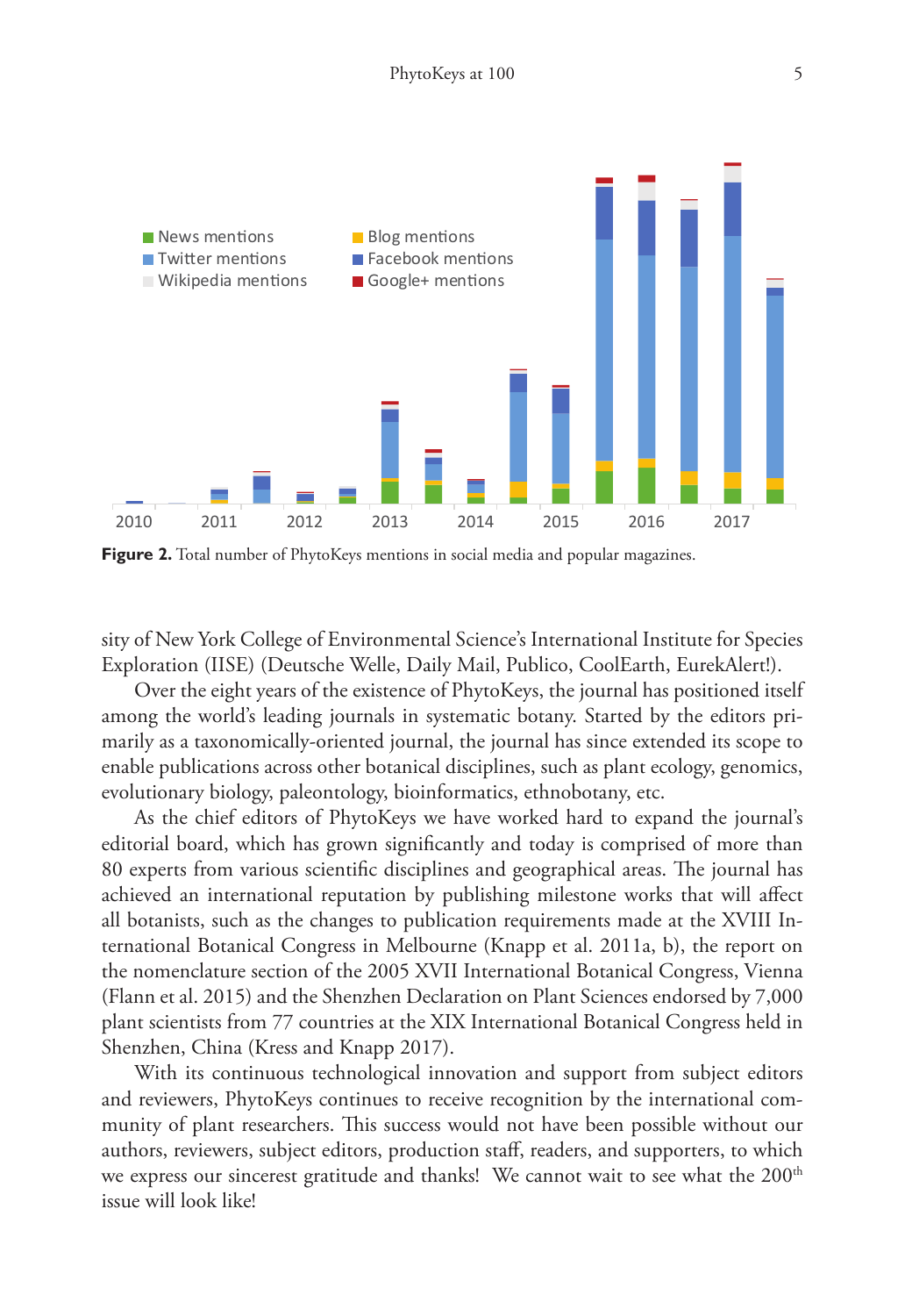

**Figure 2.** Total number of PhytoKeys mentions in social media and popular magazines.

sity of New York College of Environmental Science's International Institute for Species Exploration (IISE) [\(Deutsche Welle,](http://www.dw.com/en/scientists-reveal-top-10-most-bizarre-new-species-of-2017/a-38919724) [Daily Mail](http://www.dailymail.co.uk/sciencetech/article-4523532/Scientists-reveal-10-new-species-2017.html), [Publico,](https://www.publico.pt/2017/05/23/ciencia/noticia/no-top-10-de-2017-ha-especies-como-um-insecto-muito-esquivo-e-um-tomate-que-sangra-1773193) [CoolEarth](https://www.coolearth.org/2016/05/top-10-species-2016/), [EurekAlert!](https://www.eurekalert.org/pub_releases/2016-05/scoe-elt051616.php)).

Over the eight years of the existence of PhytoKeys, the journal has positioned itself among the world's leading journals in systematic botany. Started by the editors primarily as a taxonomically-oriented journal, the journal has since extended its scope to enable publications across other botanical disciplines, such as plant ecology, genomics, evolutionary biology, paleontology, bioinformatics, ethnobotany, etc.

As the chief editors of PhytoKeys we have worked hard to expand the journal's editorial board, which has grown significantly and today is comprised of more than 80 experts from various scientific disciplines and geographical areas. The journal has achieved an international reputation by publishing milestone works that will affect all botanists, such as the changes to publication requirements made at the XVIII International Botanical Congress in Melbourne (Knapp et al. 2011a, b), the report on the nomenclature section of the 2005 XVII International Botanical Congress, Vienna (Flann et al. 2015) and the Shenzhen Declaration on Plant Sciences endorsed by 7,000 plant scientists from 77 countries at the XIX International Botanical Congress held in Shenzhen, China (Kress and Knapp 2017).

With its continuous technological innovation and support from subject editors and reviewers, PhytoKeys continues to receive recognition by the international community of plant researchers. This success would not have been possible without our authors, reviewers, subject editors, production staff, readers, and supporters, to which we express our sincerest gratitude and thanks! We cannot wait to see what the 200<sup>th</sup> issue will look like!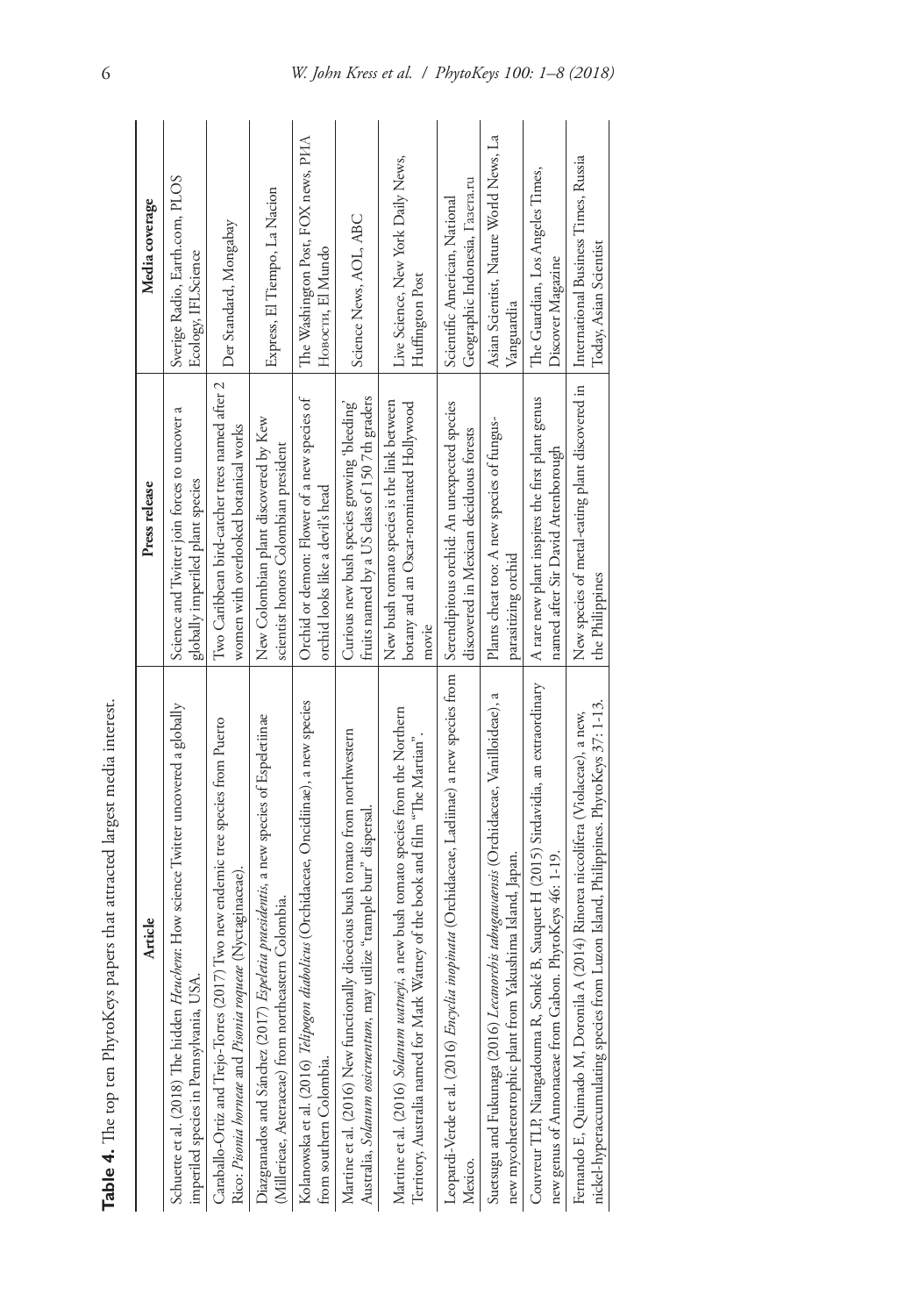| Table 4. The top ten PhytoKeys papers that attracted largest media interest.                                                                                             |                                                                                                 |                                                                  |
|--------------------------------------------------------------------------------------------------------------------------------------------------------------------------|-------------------------------------------------------------------------------------------------|------------------------------------------------------------------|
| Article                                                                                                                                                                  | Press release                                                                                   | Media coverage                                                   |
| Schuette et al. (2018) The hidden Heuchera: How science Twitter uncovered a globally<br>imperiled species in Pennsylvania, USA.                                          | Science and Twitter join forces to uncover a<br>globally imperiled plant species                | Sverige Radio, Earth.com, PLOS<br>Ecology, IFLScience            |
| Caraballo-Ortiz and Trejo-Torres (2017) Two new endemic tree species from Puerto<br>Rico: Pisonia horneae and Pisonia roqueae (Nyctaginaceae).                           | Two Caribbean bird-catcher trees named after 2<br>women with overlooked botanical works         | Der Standard, Mongabay                                           |
| Diazgranados and Sánchez (2017) Espeletia praesidentis, a new species of Espeletiinae<br>(Millerieae, Asteraceae) from northeastern Colombia.                            | New Colombian plant discovered by Kew<br>scientist honors Colombian president                   | Express, El Tiempo, La Nacion                                    |
| Kolanowska et al. (2016) Telipogon diabolicus (Orchidaceae, Oncidiinae), a new species<br>from southern Colombia.                                                        | Orchid or demon: Flower of a new species of<br>orchid looks like a devil's head                 | The Washington Post, FOX news, PIAA<br>Новости, El Mundo         |
| Martine et al. (2016) New functionally dioecious bush tomato from northwestern<br>Australia, Solanum ossicruentum, may utilize "trample burr" dispersal.                 | fruits named by a US class of 1507th graders<br>Curious new bush species growing 'bleeding'     | Science News, AOL, ABC                                           |
| Martine et al. (2016) Solanum uutmeyi, a new bush tomato species from the Northern<br>Territory, Australia named for Mark Watney of the book and film "The Martian".     | New bush tomato species is the link between<br>botany and an Oscar-nominated Hollywood<br>movie | Live Science, New York Daily News,<br>Huffington Post            |
| Leopardi-Verde et al. (2016) Encyclia inopinata (Orchidaceae, Laeliinae) a new species from<br>Mexico.                                                                   | Serendipitous orchid: An unexpected species<br>discovered in Mexican deciduous forests          | Geographic Indonesia, Fasera.ru<br>Scientific American, National |
| Suetsugu and Fukunaga (2016) Lecanorchis tabugatuaensis (Orchidaceae, Vanilloideae), a<br>new mycoheterotrophic plant from Yakushima Island, Japan.                      | Plants cheat too: A new species of fungus-<br>parasitizing orchid                               | Asian Scientist, Nature World News, La<br>Vanguardia             |
| Couvreur TLP, Niangadouma R, Sonké B, Sauquet H (2015) Sirdavidia, an extraordinary<br>new genus of Annonaceae from Gabon. PhytoKeys 46: 1-19.                           | A rare new plant inspires the first plant genus<br>named after Sir David Attenborough           | The Guardian, Los Angeles Times,<br>Discover Magazine            |
| nickel-hyperaccumulating species from Luzon Island, Philippines. PhytoKeys 37: 1-13.<br>Fernando E, Quimado M, Doronila A (2014) Rinorea niccolifera (Violaceae), a new, | New species of metal-eating plant discovered in<br>the Philippines                              | International Business Times, Russia<br>Today, Asian Scientist   |
|                                                                                                                                                                          |                                                                                                 |                                                                  |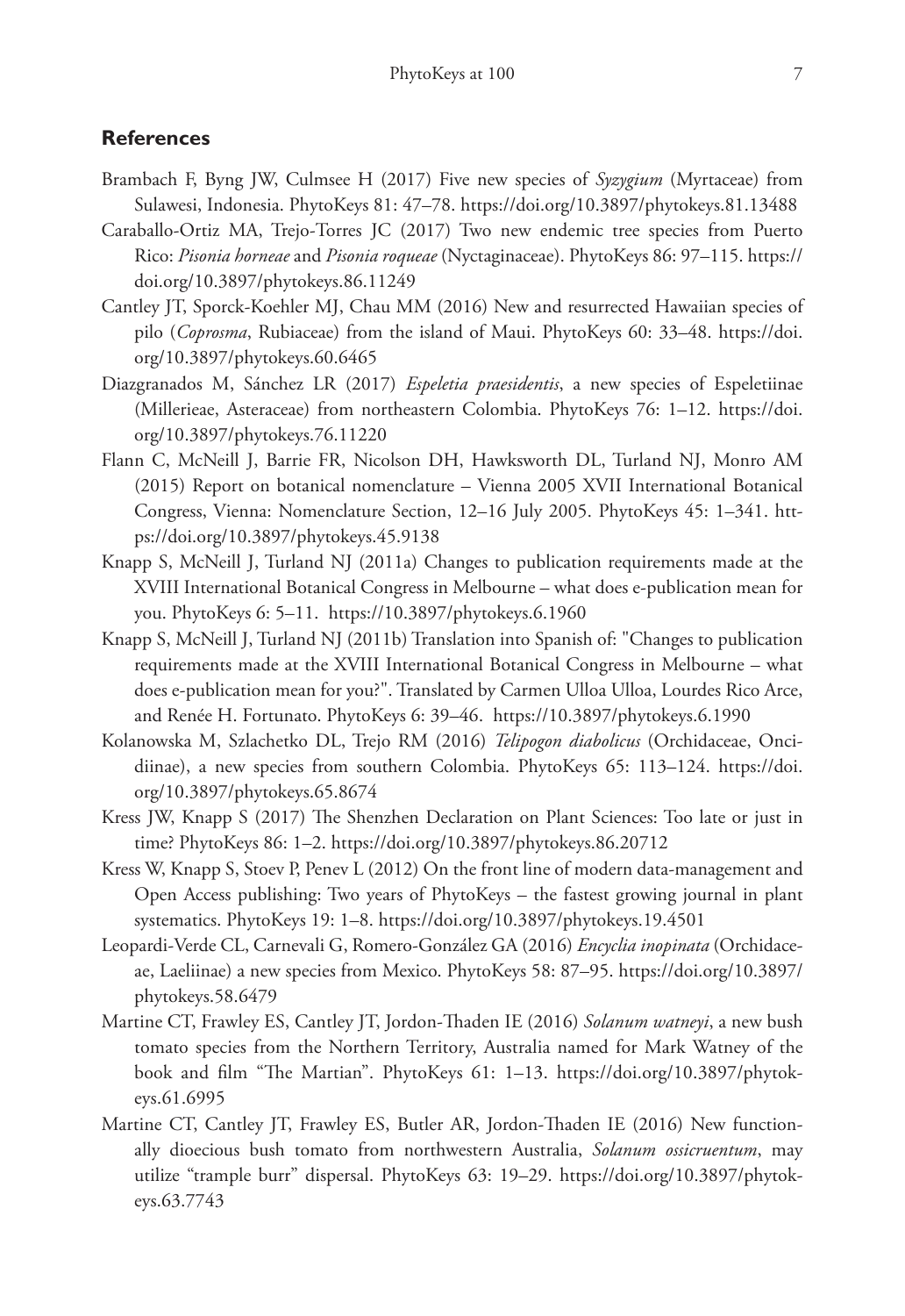## **References**

- Brambach F, Byng JW, Culmsee H (2017) Five new species of *Syzygium* (Myrtaceae) from Sulawesi, Indonesia. PhytoKeys 81: 47–78.<https://doi.org/10.3897/phytokeys.81.13488>
- Caraballo-Ortiz MA, Trejo-Torres JC (2017) Two new endemic tree species from Puerto Rico: *Pisonia horneae* and *Pisonia roqueae* (Nyctaginaceae). PhytoKeys 86: 97–115. [https://](https://doi.org/10.3897/phytokeys.86.11249) [doi.org/10.3897/phytokeys.86.11249](https://doi.org/10.3897/phytokeys.86.11249)
- Cantley JT, Sporck-Koehler MJ, Chau MM (2016) New and resurrected Hawaiian species of pilo (*Coprosma*, Rubiaceae) from the island of Maui. PhytoKeys 60: 33–48. [https://doi.](https://doi.org/10.3897/phytokeys.60.6465) [org/10.3897/phytokeys.60.6465](https://doi.org/10.3897/phytokeys.60.6465)
- Diazgranados M, Sánchez LR (2017) *Espeletia praesidentis*, a new species of Espeletiinae (Millerieae, Asteraceae) from northeastern Colombia. PhytoKeys 76: 1–12. [https://doi.](https://doi.org/10.3897/phytokeys.76.11220) [org/10.3897/phytokeys.76.11220](https://doi.org/10.3897/phytokeys.76.11220)
- Flann C, McNeill J, Barrie FR, Nicolson DH, Hawksworth DL, Turland NJ, Monro AM (2015) Report on botanical nomenclature – Vienna 2005 XVII International Botanical Congress, Vienna: Nomenclature Section, 12–16 July 2005. PhytoKeys 45: 1–341. [htt](https://doi.org/10.3897/phytokeys.45.9138)[ps://doi.org/10.3897/phytokeys.45.9138](https://doi.org/10.3897/phytokeys.45.9138)
- Knapp S, McNeill J, Turland NJ (2011a) Changes to publication requirements made at the XVIII International Botanical Congress in Melbourne – what does e-publication mean for you. PhytoKeys 6: 5–11. <https://10.3897/phytokeys.6.1960>
- Knapp S, McNeill J, Turland NJ (2011b) Translation into Spanish of: "Changes to publication requirements made at the XVIII International Botanical Congress in Melbourne – what does e-publication mean for you?". Translated by Carmen Ulloa Ulloa, Lourdes Rico Arce, and Renée H. Fortunato. PhytoKeys 6: 39–46. <https://10.3897/phytokeys.6.1990>
- Kolanowska M, Szlachetko DL, Trejo RM (2016) *Telipogon diabolicus* (Orchidaceae, Oncidiinae), a new species from southern Colombia. PhytoKeys 65: 113–124. [https://doi.](https://doi.org/10.3897/phytokeys.65.8674) [org/10.3897/phytokeys.65.8674](https://doi.org/10.3897/phytokeys.65.8674)
- Kress JW, Knapp S (2017) The Shenzhen Declaration on Plant Sciences: Too late or just in time? PhytoKeys 86: 1–2.<https://doi.org/10.3897/phytokeys.86.20712>
- Kress W, Knapp S, Stoev P, Penev L (2012) On the front line of modern data-management and Open Access publishing: Two years of PhytoKeys – the fastest growing journal in plant systematics. PhytoKeys 19: 1–8. <https://doi.org/10.3897/phytokeys.19.4501>
- Leopardi-Verde CL, Carnevali G, Romero-González GA (2016) *Encyclia inopinata* (Orchidaceae, Laeliinae) a new species from Mexico. PhytoKeys 58: 87–95. [https://doi.org/10.3897/](https://doi.org/10.3897/phytokeys.58.6479) [phytokeys.58.6479](https://doi.org/10.3897/phytokeys.58.6479)
- Martine CT, Frawley ES, Cantley JT, Jordon-Thaden IE (2016) *Solanum watneyi*, a new bush tomato species from the Northern Territory, Australia named for Mark Watney of the book and film "The Martian". PhytoKeys 61: 1–13. [https://doi.org/10.3897/phytok](https://doi.org/10.3897/phytokeys.61.6995)[eys.61.6995](https://doi.org/10.3897/phytokeys.61.6995)
- Martine CT, Cantley JT, Frawley ES, Butler AR, Jordon-Thaden IE (2016) New functionally dioecious bush tomato from northwestern Australia, *Solanum ossicruentum*, may utilize "trample burr" dispersal. PhytoKeys 63: 19–29. [https://doi.org/10.3897/phytok](https://doi.org/10.3897/phytokeys.63.7743)[eys.63.7743](https://doi.org/10.3897/phytokeys.63.7743)